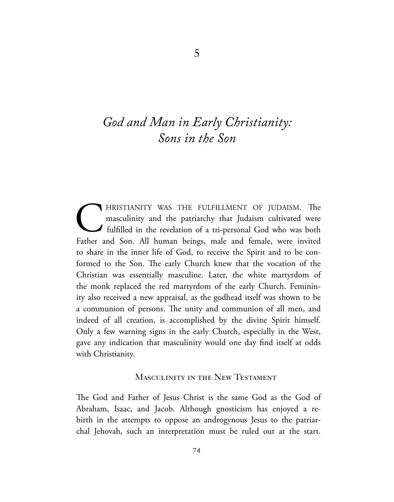# *God and Man in Early Christianity: Sons in the Son*

HRISTIANITY WAS THE FULFILLMENT OF JUDAISM. The masculinity and the patriarchy that Judaism cultivated were fulfilled in the revelation of a tri-personal God who was both FATHER FULFILLMENT OF JUDAISM. The masculinity and the patriarchy that Judaism cultivated were fulfilled in the revelation of a tri-personal God who was both Father and Son. All human beings, male and female, were invited to share in the inner life of God, to receive the Spirit and to be conformed to the Son. The early Church knew that the vocation of the Christian was essentially masculine. Later, the white martyrdom of the monk replaced the red martyrdom of the early Church. Femininity also received a new appraisal, as the godhead itself was shown to be a communion of persons. The unity and communion of all men, and indeed of all creation, is accomplished by the divine Spirit himself. Only a few warning signs in the early Church, especially in the West, gave any indication that masculinity would one day find itself at odds with Christianity.

# Masculinity in the New Testament

The God and Father of Jesus Christ is the same God as the God of Abraham, Isaac, and Jacob. Although gnosticism has enjoyed a rebirth in the attempts to oppose an androgynous Jesus to the patriarchal Jehovah, such an interpretation must be ruled out at the start.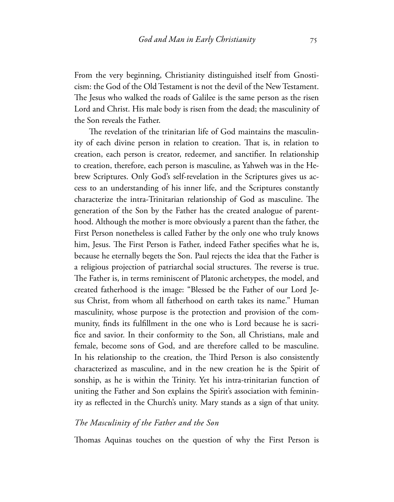From the very beginning, Christianity distinguished itself from Gnosticism: the God of the Old Testament is not the devil of the New Testament. The Jesus who walked the roads of Galilee is the same person as the risen Lord and Christ. His male body is risen from the dead; the masculinity of the Son reveals the Father.

The revelation of the trinitarian life of God maintains the masculinity of each divine person in relation to creation. That is, in relation to creation, each person is creator, redeemer, and sanctifier. In relationship to creation, therefore, each person is masculine, as Yahweh was in the Hebrew Scriptures. Only God's self-revelation in the Scriptures gives us access to an understanding of his inner life, and the Scriptures constantly characterize the intra-Trinitarian relationship of God as masculine. The generation of the Son by the Father has the created analogue of parenthood. Although the mother is more obviously a parent than the father, the First Person nonetheless is called Father by the only one who truly knows him, Jesus. The First Person is Father, indeed Father specifies what he is, because he eternally begets the Son. Paul rejects the idea that the Father is a religious projection of patriarchal social structures. The reverse is true. The Father is, in terms reminiscent of Platonic archetypes, the model, and created fatherhood is the image: "Blessed be the Father of our Lord Jesus Christ, from whom all fatherhood on earth takes its name." Human masculinity, whose purpose is the protection and provision of the community, finds its fulfillment in the one who is Lord because he is sacrifice and savior. In their conformity to the Son, all Christians, male and female, become sons of God, and are therefore called to be masculine. In his relationship to the creation, the Third Person is also consistently characterized as masculine, and in the new creation he is the Spirit of sonship, as he is within the Trinity. Yet his intra-trinitarian function of uniting the Father and Son explains the Spirit's association with femininity as reflected in the Church's unity. Mary stands as a sign of that unity.

# *The Masculinity of the Father and the Son*

Thomas Aquinas touches on the question of why the First Person is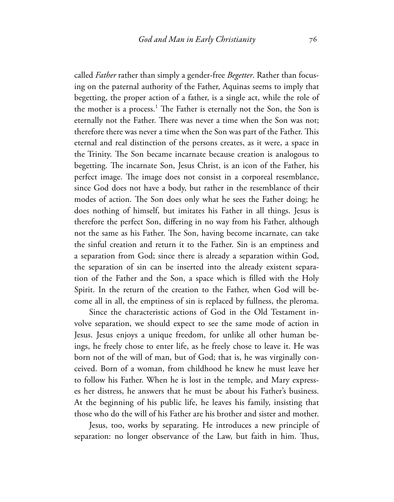called *Father* rather than simply a gender-free *Begetter*. Rather than focusing on the paternal authority of the Father, Aquinas seems to imply that begetting, the proper action of a father, is a single act, while the role of the mother is a process.<sup>1</sup> The Father is eternally not the Son, the Son is eternally not the Father. There was never a time when the Son was not; therefore there was never a time when the Son was part of the Father. This eternal and real distinction of the persons creates, as it were, a space in the Trinity. The Son became incarnate because creation is analogous to begetting. The incarnate Son, Jesus Christ, is an icon of the Father, his perfect image. The image does not consist in a corporeal resemblance, since God does not have a body, but rather in the resemblance of their modes of action. The Son does only what he sees the Father doing; he does nothing of himself, but imitates his Father in all things. Jesus is therefore the perfect Son, differing in no way from his Father, although not the same as his Father. The Son, having become incarnate, can take the sinful creation and return it to the Father. Sin is an emptiness and a separation from God; since there is already a separation within God, the separation of sin can be inserted into the already existent separation of the Father and the Son, a space which is filled with the Holy Spirit. In the return of the creation to the Father, when God will become all in all, the emptiness of sin is replaced by fullness, the pleroma.

Since the characteristic actions of God in the Old Testament involve separation, we should expect to see the same mode of action in Jesus. Jesus enjoys a unique freedom, for unlike all other human beings, he freely chose to enter life, as he freely chose to leave it. He was born not of the will of man, but of God; that is, he was virginally conceived. Born of a woman, from childhood he knew he must leave her to follow his Father. When he is lost in the temple, and Mary expresses her distress, he answers that he must be about his Father's business. At the beginning of his public life, he leaves his family, insisting that those who do the will of his Father are his brother and sister and mother.

Jesus, too, works by separating. He introduces a new principle of separation: no longer observance of the Law, but faith in him. Thus,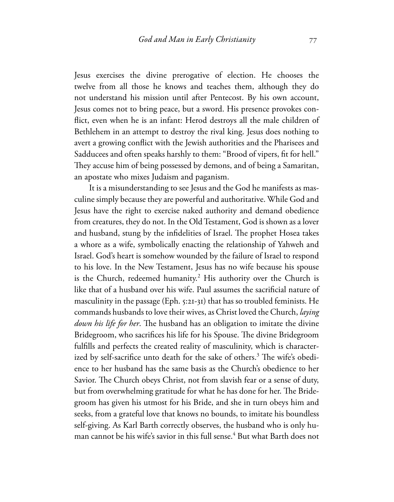Jesus exercises the divine prerogative of election. He chooses the twelve from all those he knows and teaches them, although they do not understand his mission until after Pentecost. By his own account, Jesus comes not to bring peace, but a sword. His presence provokes conflict, even when he is an infant: Herod destroys all the male children of Bethlehem in an attempt to destroy the rival king. Jesus does nothing to avert a growing conflict with the Jewish authorities and the Pharisees and Sadducees and often speaks harshly to them: "Brood of vipers, fit for hell." They accuse him of being possessed by demons, and of being a Samaritan, an apostate who mixes Judaism and paganism.

It is a misunderstanding to see Jesus and the God he manifests as masculine simply because they are powerful and authoritative. While God and Jesus have the right to exercise naked authority and demand obedience from creatures, they do not. In the Old Testament, God is shown as a lover and husband, stung by the infidelities of Israel. The prophet Hosea takes a whore as a wife, symbolically enacting the relationship of Yahweh and Israel. God's heart is somehow wounded by the failure of Israel to respond to his love. In the New Testament, Jesus has no wife because his spouse is the Church, redeemed humanity.<sup>2</sup> His authority over the Church is like that of a husband over his wife. Paul assumes the sacrificial nature of masculinity in the passage (Eph. 5:21-31) that has so troubled feminists. He commands husbands to love their wives, as Christ loved the Church, *laying down his life for her*. The husband has an obligation to imitate the divine Bridegroom, who sacrifices his life for his Spouse. The divine Bridegroom fulfills and perfects the created reality of masculinity, which is characterized by self-sacrifice unto death for the sake of others.<sup>3</sup> The wife's obedience to her husband has the same basis as the Church's obedience to her Savior. The Church obeys Christ, not from slavish fear or a sense of duty, but from overwhelming gratitude for what he has done for her. The Bridegroom has given his utmost for his Bride, and she in turn obeys him and seeks, from a grateful love that knows no bounds, to imitate his boundless self-giving. As Karl Barth correctly observes, the husband who is only human cannot be his wife's savior in this full sense.<sup>4</sup> But what Barth does not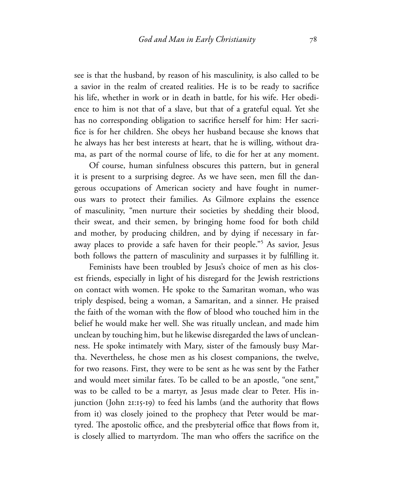see is that the husband, by reason of his masculinity, is also called to be a savior in the realm of created realities. He is to be ready to sacrifice his life, whether in work or in death in battle, for his wife. Her obedience to him is not that of a slave, but that of a grateful equal. Yet she has no corresponding obligation to sacrifice herself for him: Her sacrifice is for her children. She obeys her husband because she knows that he always has her best interests at heart, that he is willing, without drama, as part of the normal course of life, to die for her at any moment.

Of course, human sinfulness obscures this pattern, but in general it is present to a surprising degree. As we have seen, men fill the dangerous occupations of American society and have fought in numerous wars to protect their families. As Gilmore explains the essence of masculinity, "men nurture their societies by shedding their blood, their sweat, and their semen, by bringing home food for both child and mother, by producing children, and by dying if necessary in faraway places to provide a safe haven for their people."<sup>5</sup> As savior, Jesus both follows the pattern of masculinity and surpasses it by fulfilling it.

Feminists have been troubled by Jesus's choice of men as his closest friends, especially in light of his disregard for the Jewish restrictions on contact with women. He spoke to the Samaritan woman, who was triply despised, being a woman, a Samaritan, and a sinner. He praised the faith of the woman with the flow of blood who touched him in the belief he would make her well. She was ritually unclean, and made him unclean by touching him, but he likewise disregarded the laws of uncleanness. He spoke intimately with Mary, sister of the famously busy Martha. Nevertheless, he chose men as his closest companions, the twelve, for two reasons. First, they were to be sent as he was sent by the Father and would meet similar fates. To be called to be an apostle, "one sent," was to be called to be a martyr, as Jesus made clear to Peter. His injunction (John 21:15-19) to feed his lambs (and the authority that flows from it) was closely joined to the prophecy that Peter would be martyred. The apostolic office, and the presbyterial office that flows from it, is closely allied to martyrdom. The man who offers the sacrifice on the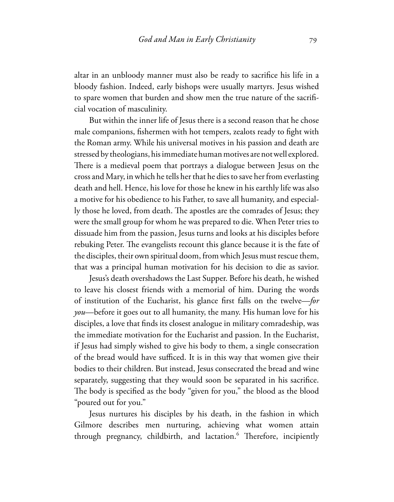altar in an unbloody manner must also be ready to sacrifice his life in a bloody fashion. Indeed, early bishops were usually martyrs. Jesus wished to spare women that burden and show men the true nature of the sacrificial vocation of masculinity.

But within the inner life of Jesus there is a second reason that he chose male companions, fishermen with hot tempers, zealots ready to fight with the Roman army. While his universal motives in his passion and death are stressed by theologians, his immediate human motives are not well explored. There is a medieval poem that portrays a dialogue between Jesus on the cross and Mary, in which he tells her that he dies to save her from everlasting death and hell. Hence, his love for those he knew in his earthly life was also a motive for his obedience to his Father, to save all humanity, and especially those he loved, from death. The apostles are the comrades of Jesus; they were the small group for whom he was prepared to die. When Peter tries to dissuade him from the passion, Jesus turns and looks at his disciples before rebuking Peter. The evangelists recount this glance because it is the fate of the disciples, their own spiritual doom, from which Jesus must rescue them, that was a principal human motivation for his decision to die as savior.

Jesus's death overshadows the Last Supper. Before his death, he wished to leave his closest friends with a memorial of him. During the words of institution of the Eucharist, his glance first falls on the twelve—*for you*—before it goes out to all humanity, the many. His human love for his disciples, a love that finds its closest analogue in military comradeship, was the immediate motivation for the Eucharist and passion. In the Eucharist, if Jesus had simply wished to give his body to them, a single consecration of the bread would have sufficed. It is in this way that women give their bodies to their children. But instead, Jesus consecrated the bread and wine separately, suggesting that they would soon be separated in his sacrifice. The body is specified as the body "given for you," the blood as the blood "poured out for you."

Jesus nurtures his disciples by his death, in the fashion in which Gilmore describes men nurturing, achieving what women attain through pregnancy, childbirth, and lactation.<sup>6</sup> Therefore, incipiently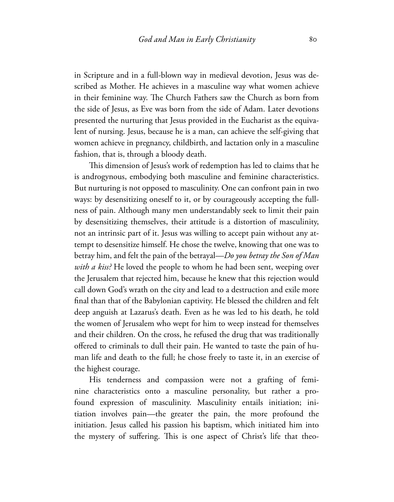in Scripture and in a full-blown way in medieval devotion, Jesus was described as Mother. He achieves in a masculine way what women achieve in their feminine way. The Church Fathers saw the Church as born from the side of Jesus, as Eve was born from the side of Adam. Later devotions presented the nurturing that Jesus provided in the Eucharist as the equivalent of nursing. Jesus, because he is a man, can achieve the self-giving that women achieve in pregnancy, childbirth, and lactation only in a masculine fashion, that is, through a bloody death.

This dimension of Jesus's work of redemption has led to claims that he is androgynous, embodying both masculine and feminine characteristics. But nurturing is not opposed to masculinity. One can confront pain in two ways: by desensitizing oneself to it, or by courageously accepting the fullness of pain. Although many men understandably seek to limit their pain by desensitizing themselves, their attitude is a distortion of masculinity, not an intrinsic part of it. Jesus was willing to accept pain without any attempt to desensitize himself. He chose the twelve, knowing that one was to betray him, and felt the pain of the betrayal—*Do you betray the Son of Man with a kiss?* He loved the people to whom he had been sent, weeping over the Jerusalem that rejected him, because he knew that this rejection would call down God's wrath on the city and lead to a destruction and exile more final than that of the Babylonian captivity. He blessed the children and felt deep anguish at Lazarus's death. Even as he was led to his death, he told the women of Jerusalem who wept for him to weep instead for themselves and their children. On the cross, he refused the drug that was traditionally offered to criminals to dull their pain. He wanted to taste the pain of human life and death to the full; he chose freely to taste it, in an exercise of the highest courage.

His tenderness and compassion were not a grafting of feminine characteristics onto a masculine personality, but rather a profound expression of masculinity. Masculinity entails initiation; initiation involves pain—the greater the pain, the more profound the initiation. Jesus called his passion his baptism, which initiated him into the mystery of suffering. This is one aspect of Christ's life that theo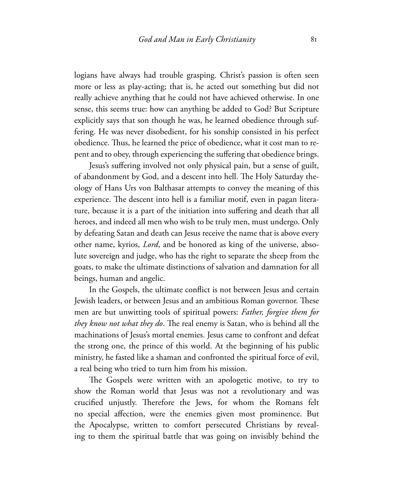logians have always had trouble grasping. Christ's passion is often seen more or less as play-acting; that is, he acted out something but did not really achieve anything that he could not have achieved otherwise. In one sense, this seems true: how can anything be added to God? But Scripture explicitly says that son though he was, he learned obedience through suffering. He was never disobedient, for his sonship consisted in his perfect obedience. Thus, he learned the price of obedience, what it cost man to repent and to obey, through experiencing the suffering that obedience brings.

Jesus's suffering involved not only physical pain, but a sense of guilt, of abandonment by God, and a descent into hell. The Holy Saturday theology of Hans Urs von Balthasar attempts to convey the meaning of this experience. The descent into hell is a familiar motif, even in pagan literature, because it is a part of the initiation into suffering and death that all heroes, and indeed all men who wish to be truly men, must undergo. Only by defeating Satan and death can Jesus receive the name that is above every other name, kyrios, *Lord*, and be honored as king of the universe, absolute sovereign and judge, who has the right to separate the sheep from the goats, to make the ultimate distinctions of salvation and damnation for all beings, human and angelic.

In the Gospels, the ultimate conflict is not between Jesus and certain Jewish leaders, or between Jesus and an ambitious Roman governor. These men are but unwitting tools of spiritual powers: *Father, forgive them for they know not what they do*. The real enemy is Satan, who is behind all the machinations of Jesus's mortal enemies. Jesus came to confront and defeat the strong one, the prince of this world. At the beginning of his public ministry, he fasted like a shaman and confronted the spiritual force of evil, a real being who tried to turn him from his mission.

The Gospels were written with an apologetic motive, to try to show the Roman world that Jesus was not a revolutionary and was crucified unjustly. Therefore the Jews, for whom the Romans felt no special affection, were the enemies given most prominence. But the Apocalypse, written to comfort persecuted Christians by revealing to them the spiritual battle that was going on invisibly behind the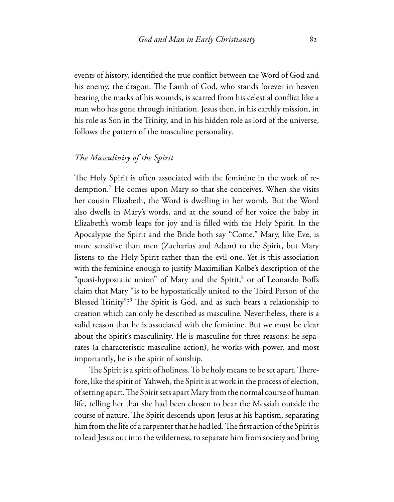events of history, identified the true conflict between the Word of God and his enemy, the dragon. The Lamb of God, who stands forever in heaven bearing the marks of his wounds, is scarred from his celestial conflict like a man who has gone through initiation. Jesus then, in his earthly mission, in his role as Son in the Trinity, and in his hidden role as lord of the universe, follows the pattern of the masculine personality.

#### *The Masculinity of the Spirit*

The Holy Spirit is often associated with the feminine in the work of redemption.7 He comes upon Mary so that she conceives. When she visits her cousin Elizabeth, the Word is dwelling in her womb. But the Word also dwells in Mary's words, and at the sound of her voice the baby in Elizabeth's womb leaps for joy and is filled with the Holy Spirit. In the Apocalypse the Spirit and the Bride both say "Come." Mary, like Eve, is more sensitive than men (Zacharias and Adam) to the Spirit, but Mary listens to the Holy Spirit rather than the evil one. Yet is this association with the feminine enough to justify Maximilian Kolbe's description of the "quasi-hypostatic union" of Mary and the Spirit,<sup>8</sup> or of Leonardo Boffs claim that Mary "is to be hypostatically united to the Third Person of the Blessed Trinity"?<sup>9</sup> The Spirit is God, and as such bears a relationship to creation which can only be described as masculine. Nevertheless, there is a valid reason that he is associated with the feminine. But we must be clear about the Spirit's masculinity. He is masculine for three reasons: he separates (a characteristic masculine action), he works with power, and most importantly, he is the spirit of sonship.

The Spirit is a spirit of holiness. To be holy means to be set apart. Therefore, like the spirit of Yahweh, the Spirit is at work in the process of election, of setting apart. The Spirit sets apart Mary from the normal course of human life, telling her that she had been chosen to bear the Messiah outside the course of nature. The Spirit descends upon Jesus at his baptism, separating him from the life of a carpenter that he had led. The first action of the Spirit is to lead Jesus out into the wilderness, to separate him from society and bring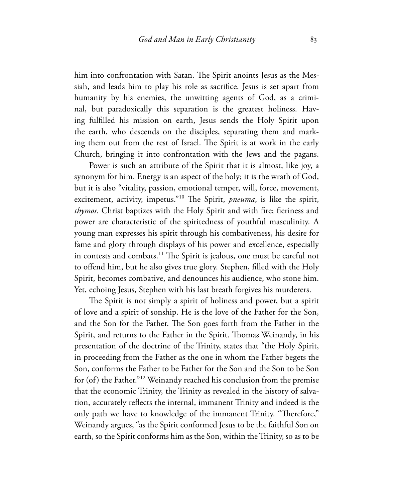him into confrontation with Satan. The Spirit anoints Jesus as the Messiah, and leads him to play his role as sacrifice. Jesus is set apart from humanity by his enemies, the unwitting agents of God, as a criminal, but paradoxically this separation is the greatest holiness. Having fulfilled his mission on earth, Jesus sends the Holy Spirit upon the earth, who descends on the disciples, separating them and marking them out from the rest of Israel. The Spirit is at work in the early Church, bringing it into confrontation with the Jews and the pagans.

Power is such an attribute of the Spirit that it is almost, like joy, a synonym for him. Energy is an aspect of the holy; it is the wrath of God, but it is also "vitality, passion, emotional temper, will, force, movement, excitement, activity, impetus."<sup>10</sup> The Spirit, *pneuma*, is like the spirit, *thymos*. Christ baptizes with the Holy Spirit and with fire; fieriness and power are characteristic of the spiritedness of youthful masculinity. A young man expresses his spirit through his combativeness, his desire for fame and glory through displays of his power and excellence, especially in contests and combats.<sup>11</sup> The Spirit is jealous, one must be careful not to offend him, but he also gives true glory. Stephen, filled with the Holy Spirit, becomes combative, and denounces his audience, who stone him. Yet, echoing Jesus, Stephen with his last breath forgives his murderers.

The Spirit is not simply a spirit of holiness and power, but a spirit of love and a spirit of sonship. He is the love of the Father for the Son, and the Son for the Father. The Son goes forth from the Father in the Spirit, and returns to the Father in the Spirit. Thomas Weinandy, in his presentation of the doctrine of the Trinity, states that "the Holy Spirit, in proceeding from the Father as the one in whom the Father begets the Son, conforms the Father to be Father for the Son and the Son to be Son for (of) the Father."12 Weinandy reached his conclusion from the premise that the economic Trinity, the Trinity as revealed in the history of salvation, accurately reflects the internal, immanent Trinity and indeed is the only path we have to knowledge of the immanent Trinity. "Therefore," Weinandy argues, "as the Spirit conformed Jesus to be the faithful Son on earth, so the Spirit conforms him as the Son, within the Trinity, so as to be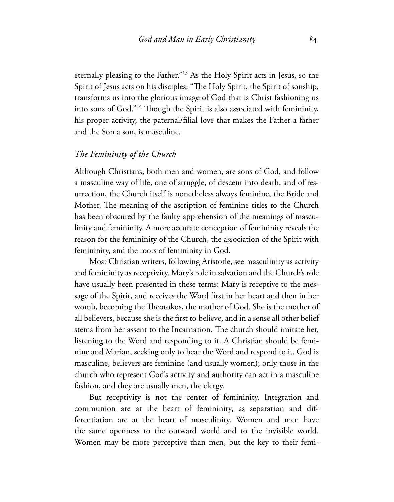eternally pleasing to the Father."13 As the Holy Spirit acts in Jesus, so the Spirit of Jesus acts on his disciples: "The Holy Spirit, the Spirit of sonship, transforms us into the glorious image of God that is Christ fashioning us into sons of God."14 Though the Spirit is also associated with femininity, his proper activity, the paternal/filial love that makes the Father a father and the Son a son, is masculine.

## *The Femininity of the Church*

Although Christians, both men and women, are sons of God, and follow a masculine way of life, one of struggle, of descent into death, and of resurrection, the Church itself is nonetheless always feminine, the Bride and Mother. The meaning of the ascription of feminine titles to the Church has been obscured by the faulty apprehension of the meanings of masculinity and femininity. A more accurate conception of femininity reveals the reason for the femininity of the Church, the association of the Spirit with femininity, and the roots of femininity in God.

Most Christian writers, following Aristotle, see masculinity as activity and femininity as receptivity. Mary's role in salvation and the Church's role have usually been presented in these terms: Mary is receptive to the message of the Spirit, and receives the Word first in her heart and then in her womb, becoming the Theotokos, the mother of God. She is the mother of all believers, because she is the first to believe, and in a sense all other belief stems from her assent to the Incarnation. The church should imitate her, listening to the Word and responding to it. A Christian should be feminine and Marian, seeking only to hear the Word and respond to it. God is masculine, believers are feminine (and usually women); only those in the church who represent God's activity and authority can act in a masculine fashion, and they are usually men, the clergy.

But receptivity is not the center of femininity. Integration and communion are at the heart of femininity, as separation and differentiation are at the heart of masculinity. Women and men have the same openness to the outward world and to the invisible world. Women may be more perceptive than men, but the key to their femi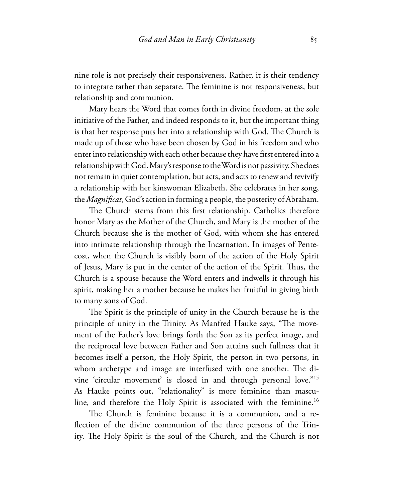nine role is not precisely their responsiveness. Rather, it is their tendency to integrate rather than separate. The feminine is not responsiveness, but relationship and communion.

Mary hears the Word that comes forth in divine freedom, at the sole initiative of the Father, and indeed responds to it, but the important thing is that her response puts her into a relationship with God. The Church is made up of those who have been chosen by God in his freedom and who enter into relationship with each other because they have first entered into a relationship with God. Mary's response to the Word is not passivity. She does not remain in quiet contemplation, but acts, and acts to renew and revivify a relationship with her kinswoman Elizabeth. She celebrates in her song, the *Magnificat*, God's action in forming a people, the posterity of Abraham.

The Church stems from this first relationship. Catholics therefore honor Mary as the Mother of the Church, and Mary is the mother of the Church because she is the mother of God, with whom she has entered into intimate relationship through the Incarnation. In images of Pentecost, when the Church is visibly born of the action of the Holy Spirit of Jesus, Mary is put in the center of the action of the Spirit. Thus, the Church is a spouse because the Word enters and indwells it through his spirit, making her a mother because he makes her fruitful in giving birth to many sons of God.

The Spirit is the principle of unity in the Church because he is the principle of unity in the Trinity. As Manfred Hauke says, "The movement of the Father's love brings forth the Son as its perfect image, and the reciprocal love between Father and Son attains such fullness that it becomes itself a person, the Holy Spirit, the person in two persons, in whom archetype and image are interfused with one another. The divine 'circular movement' is closed in and through personal love."<sup>15</sup> As Hauke points out, "relationality" is more feminine than masculine, and therefore the Holy Spirit is associated with the feminine.<sup>16</sup>

The Church is feminine because it is a communion, and a reflection of the divine communion of the three persons of the Trinity. The Holy Spirit is the soul of the Church, and the Church is not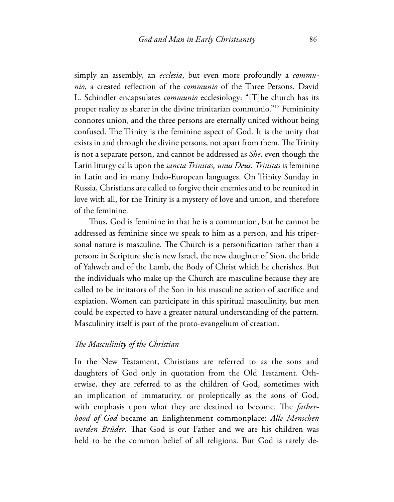simply an assembly, an *ecclesia*, but even more profoundly a *communio*, a created reflection of the *communio* of the Three Persons. David L. Schindler encapsulates *communio* ecclesiology: "[T]he church has its proper reality as sharer in the divine trinitarian communio."17 Femininity connotes union, and the three persons are eternally united without being confused. The Trinity is the feminine aspect of God. It is the unity that exists in and through the divine persons, not apart from them. The Trinity is not a separate person, and cannot be addressed as *She*, even though the Latin liturgy calls upon the *sancta Trinitas, unus Deus*. *Trinitas* is feminine in Latin and in many Indo-European languages. On Trinity Sunday in Russia, Christians are called to forgive their enemies and to be reunited in love with all, for the Trinity is a mystery of love and union, and therefore of the feminine.

Thus, God is feminine in that he is a communion, but he cannot be addressed as feminine since we speak to him as a person, and his tripersonal nature is masculine. The Church is a personification rather than a person; in Scripture she is new Israel, the new daughter of Sion, the bride of Yahweh and of the Lamb, the Body of Christ which he cherishes. But the individuals who make up the Church are masculine because they are called to be imitators of the Son in his masculine action of sacrifice and expiation. Women can participate in this spiritual masculinity, but men could be expected to have a greater natural understanding of the pattern. Masculinity itself is part of the proto-evangelium of creation.

# *The Masculinity of the Christian*

In the New Testament, Christians are referred to as the sons and daughters of God only in quotation from the Old Testament. Otherwise, they are referred to as the children of God, sometimes with an implication of immaturity, or proleptically as the sons of God, with emphasis upon what they are destined to become. The *fatherhood of God* became an Enlightenment commonplace: *Alle Menschen werden Brüder*. That God is our Father and we are his children was held to be the common belief of all religions. But God is rarely de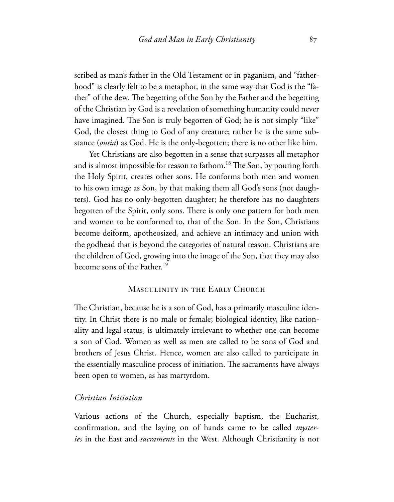scribed as man's father in the Old Testament or in paganism, and "fatherhood" is clearly felt to be a metaphor, in the same way that God is the "father" of the dew. The begetting of the Son by the Father and the begetting of the Christian by God is a revelation of something humanity could never have imagined. The Son is truly begotten of God; he is not simply "like" God, the closest thing to God of any creature; rather he is the same substance (*ousia*) as God. He is the only-begotten; there is no other like him.

Yet Christians are also begotten in a sense that surpasses all metaphor and is almost impossible for reason to fathom.<sup>18</sup> The Son, by pouring forth the Holy Spirit, creates other sons. He conforms both men and women to his own image as Son, by that making them all God's sons (not daughters). God has no only-begotten daughter; he therefore has no daughters begotten of the Spirit, only sons. There is only one pattern for both men and women to be conformed to, that of the Son. In the Son, Christians become deiform, apotheosized, and achieve an intimacy and union with the godhead that is beyond the categories of natural reason. Christians are the children of God, growing into the image of the Son, that they may also become sons of the Father.<sup>19</sup>

#### Masculinity in the Early Church

The Christian, because he is a son of God, has a primarily masculine identity. In Christ there is no male or female; biological identity, like nationality and legal status, is ultimately irrelevant to whether one can become a son of God. Women as well as men are called to be sons of God and brothers of Jesus Christ. Hence, women are also called to participate in the essentially masculine process of initiation. The sacraments have always been open to women, as has martyrdom.

#### *Christian Initiation*

Various actions of the Church, especially baptism, the Eucharist, confirmation, and the laying on of hands came to be called *mysteries* in the East and *sacraments* in the West. Although Christianity is not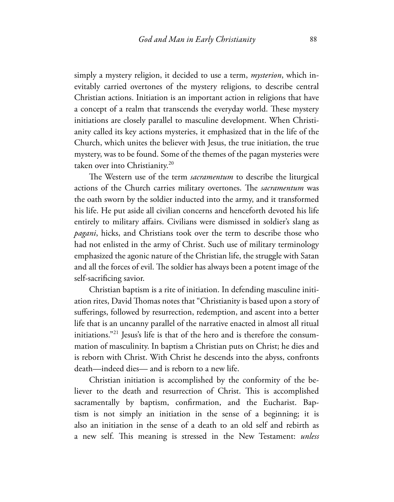simply a mystery religion, it decided to use a term, *mysterion*, which inevitably carried overtones of the mystery religions, to describe central Christian actions. Initiation is an important action in religions that have a concept of a realm that transcends the everyday world. These mystery initiations are closely parallel to masculine development. When Christianity called its key actions mysteries, it emphasized that in the life of the Church, which unites the believer with Jesus, the true initiation, the true mystery, was to be found. Some of the themes of the pagan mysteries were taken over into Christianity.<sup>20</sup>

The Western use of the term *sacramentum* to describe the liturgical actions of the Church carries military overtones. The *sacramentum* was the oath sworn by the soldier inducted into the army, and it transformed his life. He put aside all civilian concerns and henceforth devoted his life entirely to military affairs. Civilians were dismissed in soldier's slang as *pagani*, hicks, and Christians took over the term to describe those who had not enlisted in the army of Christ. Such use of military terminology emphasized the agonic nature of the Christian life, the struggle with Satan and all the forces of evil. The soldier has always been a potent image of the self-sacrificing savior.

Christian baptism is a rite of initiation. In defending masculine initiation rites, David Thomas notes that "Christianity is based upon a story of sufferings, followed by resurrection, redemption, and ascent into a better life that is an uncanny parallel of the narrative enacted in almost all ritual initiations."21 Jesus's life is that of the hero and is therefore the consummation of masculinity. In baptism a Christian puts on Christ; he dies and is reborn with Christ. With Christ he descends into the abyss, confronts death—indeed dies— and is reborn to a new life.

Christian initiation is accomplished by the conformity of the believer to the death and resurrection of Christ. This is accomplished sacramentally by baptism, confirmation, and the Eucharist. Baptism is not simply an initiation in the sense of a beginning; it is also an initiation in the sense of a death to an old self and rebirth as a new self. This meaning is stressed in the New Testament: *unless*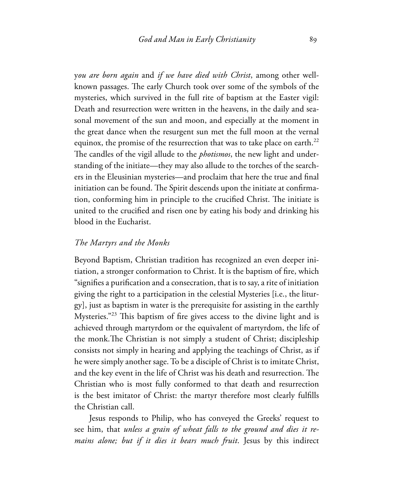y*ou are born again* and *if we have died with Christ*, among other wellknown passages. The early Church took over some of the symbols of the mysteries, which survived in the full rite of baptism at the Easter vigil: Death and resurrection were written in the heavens, in the daily and seasonal movement of the sun and moon, and especially at the moment in the great dance when the resurgent sun met the full moon at the vernal equinox, the promise of the resurrection that was to take place on earth.<sup>22</sup> The candles of the vigil allude to the *photismos*, the new light and understanding of the initiate—they may also allude to the torches of the searchers in the Eleusinian mysteries—and proclaim that here the true and final initiation can be found. The Spirit descends upon the initiate at confirmation, conforming him in principle to the crucified Christ. The initiate is united to the crucified and risen one by eating his body and drinking his blood in the Eucharist.

# *The Martyrs and the Monks*

Beyond Baptism, Christian tradition has recognized an even deeper initiation, a stronger conformation to Christ. It is the baptism of fire, which "signifies a purification and a consecration, that is to say, a rite of initiation giving the right to a participation in the celestial Mysteries [i.e., the liturgy], just as baptism in water is the prerequisite for assisting in the earthly Mysteries."<sup>23</sup> This baptism of fire gives access to the divine light and is achieved through martyrdom or the equivalent of martyrdom, the life of the monk.The Christian is not simply a student of Christ; discipleship consists not simply in hearing and applying the teachings of Christ, as if he were simply another sage. To be a disciple of Christ is to imitate Christ, and the key event in the life of Christ was his death and resurrection. The Christian who is most fully conformed to that death and resurrection is the best imitator of Christ: the martyr therefore most clearly fulfills the Christian call.

Jesus responds to Philip, who has conveyed the Greeks' request to see him, that *unless a grain of wheat falls to the ground and dies it remains alone; but if it dies it bears much fruit*. Jesus by this indirect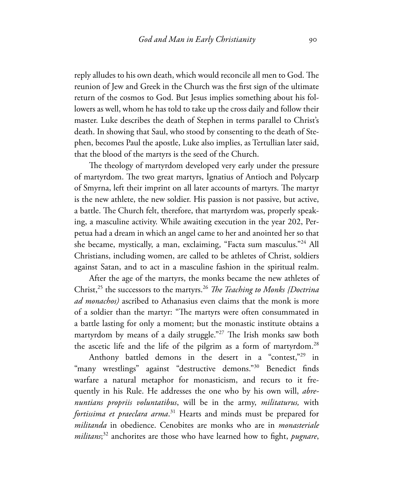reply alludes to his own death, which would reconcile all men to God. The reunion of Jew and Greek in the Church was the first sign of the ultimate return of the cosmos to God. But Jesus implies something about his followers as well, whom he has told to take up the cross daily and follow their master. Luke describes the death of Stephen in terms parallel to Christ's death. In showing that Saul, who stood by consenting to the death of Stephen, becomes Paul the apostle, Luke also implies, as Tertullian later said, that the blood of the martyrs is the seed of the Church.

The theology of martyrdom developed very early under the pressure of martyrdom. The two great martyrs, Ignatius of Antioch and Polycarp of Smyrna, left their imprint on all later accounts of martyrs. The martyr is the new athlete, the new soldier. His passion is not passive, but active, a battle. The Church felt, therefore, that martyrdom was, properly speaking, a masculine activity. While awaiting execution in the year 202, Perpetua had a dream in which an angel came to her and anointed her so that she became, mystically, a man, exclaiming, "Facta sum masculus."24 All Christians, including women, are called to be athletes of Christ, soldiers against Satan, and to act in a masculine fashion in the spiritual realm.

After the age of the martyrs, the monks became the new athletes of Christ,25 the successors to the martyrs.26 *The Teaching to Monks {Doctrina ad monachos)* ascribed to Athanasius even claims that the monk is more of a soldier than the martyr: "The martyrs were often consummated in a battle lasting for only a moment; but the monastic institute obtains a martyrdom by means of a daily struggle."<sup>27</sup> The Irish monks saw both the ascetic life and the life of the pilgrim as a form of martyrdom.<sup>28</sup>

Anthony battled demons in the desert in a "contest,"29 in "many wrestlings" against "destructive demons."30 Benedict finds warfare a natural metaphor for monasticism, and recurs to it frequently in his Rule. He addresses the one who by his own will, *abrenuntians propriis voluntatibus*, will be in the army, *militaturus,* with *fortissima et praeclara arma*. 31 Hearts and minds must be prepared for *militanda* in obedience. Cenobites are monks who are in *monasteriale militans*; 32 anchorites are those who have learned how to fight, *pugnare*,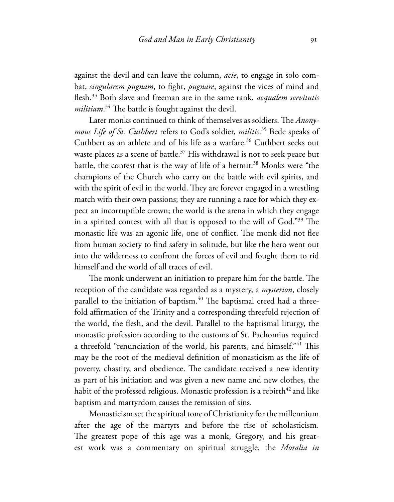against the devil and can leave the column, *acie*, to engage in solo combat, *singularem pugnam*, to fight, *pugnare*, against the vices of mind and flesh.33 Both slave and freeman are in the same rank, *aequalem servitutis militiam*. 34 The battle is fought against the devil.

Later monks continued to think of themselves as soldiers. The *Anonymous Life of St. Cuthbert* refers to God's soldier, *militis*. 35 Bede speaks of Cuthbert as an athlete and of his life as a warfare.<sup>36</sup> Cuthbert seeks out waste places as a scene of battle.<sup>37</sup> His withdrawal is not to seek peace but battle, the contest that is the way of life of a hermit.<sup>38</sup> Monks were "the champions of the Church who carry on the battle with evil spirits, and with the spirit of evil in the world. They are forever engaged in a wrestling match with their own passions; they are running a race for which they expect an incorruptible crown; the world is the arena in which they engage in a spirited contest with all that is opposed to the will of God."39 The monastic life was an agonic life, one of conflict. The monk did not flee from human society to find safety in solitude, but like the hero went out into the wilderness to confront the forces of evil and fought them to rid himself and the world of all traces of evil.

The monk underwent an initiation to prepare him for the battle. The reception of the candidate was regarded as a mystery, a *mysterion*, closely parallel to the initiation of baptism.<sup>40</sup> The baptismal creed had a threefold affirmation of the Trinity and a corresponding threefold rejection of the world, the flesh, and the devil. Parallel to the baptismal liturgy, the monastic profession according to the customs of St. Pachomius required a threefold "renunciation of the world, his parents, and himself."41 This may be the root of the medieval definition of monasticism as the life of poverty, chastity, and obedience. The candidate received a new identity as part of his initiation and was given a new name and new clothes, the habit of the professed religious. Monastic profession is a rebirth<sup>42</sup> and like baptism and martyrdom causes the remission of sins.

Monasticism set the spiritual tone of Christianity for the millennium after the age of the martyrs and before the rise of scholasticism. The greatest pope of this age was a monk, Gregory, and his greatest work was a commentary on spiritual struggle, the *Moralia in*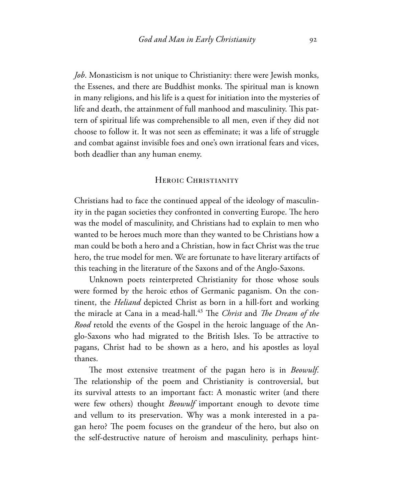*Job*. Monasticism is not unique to Christianity: there were Jewish monks, the Essenes, and there are Buddhist monks. The spiritual man is known in many religions, and his life is a quest for initiation into the mysteries of life and death, the attainment of full manhood and masculinity. This pattern of spiritual life was comprehensible to all men, even if they did not choose to follow it. It was not seen as effeminate; it was a life of struggle and combat against invisible foes and one's own irrational fears and vices, both deadlier than any human enemy.

#### Heroic Christianity

Christians had to face the continued appeal of the ideology of masculinity in the pagan societies they confronted in converting Europe. The hero was the model of masculinity, and Christians had to explain to men who wanted to be heroes much more than they wanted to be Christians how a man could be both a hero and a Christian, how in fact Christ was the true hero, the true model for men. We are fortunate to have literary artifacts of this teaching in the literature of the Saxons and of the Anglo-Saxons.

Unknown poets reinterpreted Christianity for those whose souls were formed by the heroic ethos of Germanic paganism. On the continent, the *Heliand* depicted Christ as born in a hill-fort and working the miracle at Cana in a mead-hall.43 The *Christ* and *The Dream of the Rood* retold the events of the Gospel in the heroic language of the Anglo-Saxons who had migrated to the British Isles. To be attractive to pagans, Christ had to be shown as a hero, and his apostles as loyal thanes.

The most extensive treatment of the pagan hero is in *Beowulf*. The relationship of the poem and Christianity is controversial, but its survival attests to an important fact: A monastic writer (and there were few others) thought *Beowulf* important enough to devote time and vellum to its preservation. Why was a monk interested in a pagan hero? The poem focuses on the grandeur of the hero, but also on the self-destructive nature of heroism and masculinity, perhaps hint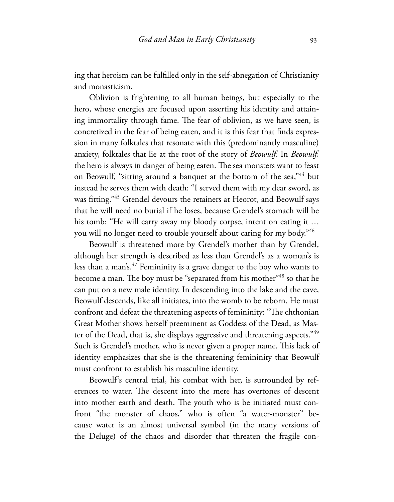ing that heroism can be fulfilled only in the self-abnegation of Christianity and monasticism.

Oblivion is frightening to all human beings, but especially to the hero, whose energies are focused upon asserting his identity and attaining immortality through fame. The fear of oblivion, as we have seen, is concretized in the fear of being eaten, and it is this fear that finds expression in many folktales that resonate with this (predominantly masculine) anxiety, folktales that lie at the root of the story of *Beowulf*. In *Beowulf,* the hero is always in danger of being eaten. The sea monsters want to feast on Beowulf, "sitting around a banquet at the bottom of the sea,"<sup>44</sup> but instead he serves them with death: "I served them with my dear sword, as was fitting."45 Grendel devours the retainers at Heorot, and Beowulf says that he will need no burial if he loses, because Grendel's stomach will be his tomb: "He will carry away my bloody corpse, intent on eating it ... you will no longer need to trouble yourself about caring for my body."46

Beowulf is threatened more by Grendel's mother than by Grendel, although her strength is described as less than Grendel's as a woman's is less than a man's.47 Femininity is a grave danger to the boy who wants to become a man. The boy must be "separated from his mother"<sup>48</sup> so that he can put on a new male identity. In descending into the lake and the cave, Beowulf descends, like all initiates, into the womb to be reborn. He must confront and defeat the threatening aspects of femininity: "The chthonian Great Mother shows herself preeminent as Goddess of the Dead, as Master of the Dead, that is, she displays aggressive and threatening aspects.<sup>"49</sup> Such is Grendel's mother, who is never given a proper name. This lack of identity emphasizes that she is the threatening femininity that Beowulf must confront to establish his masculine identity.

Beowulf's central trial, his combat with her, is surrounded by references to water. The descent into the mere has overtones of descent into mother earth and death. The youth who is be initiated must confront "the monster of chaos," who is often "a water-monster" because water is an almost universal symbol (in the many versions of the Deluge) of the chaos and disorder that threaten the fragile con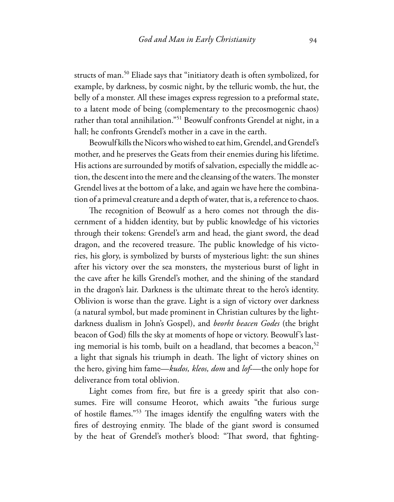structs of man.<sup>50</sup> Eliade says that "initiatory death is often symbolized, for example, by darkness, by cosmic night, by the telluric womb, the hut, the belly of a monster. All these images express regression to a preformal state, to a latent mode of being (complementary to the precosmogenic chaos) rather than total annihilation."51 Beowulf confronts Grendel at night, in a hall; he confronts Grendel's mother in a cave in the earth.

Beowulf kills the Nicors who wished to eat him, Grendel, and Grendel's mother, and he preserves the Geats from their enemies during his lifetime. His actions are surrounded by motifs of salvation, especially the middle action, the descent into the mere and the cleansing of the waters. The monster Grendel lives at the bottom of a lake, and again we have here the combination of a primeval creature and a depth of water, that is, a reference to chaos.

The recognition of Beowulf as a hero comes not through the discernment of a hidden identity, but by public knowledge of his victories through their tokens: Grendel's arm and head, the giant sword, the dead dragon, and the recovered treasure. The public knowledge of his victories, his glory, is symbolized by bursts of mysterious light: the sun shines after his victory over the sea monsters, the mysterious burst of light in the cave after he kills Grendel's mother, and the shining of the standard in the dragon's lair. Darkness is the ultimate threat to the hero's identity. Oblivion is worse than the grave. Light is a sign of victory over darkness (a natural symbol, but made prominent in Christian cultures by the lightdarkness dualism in John's Gospel), and *beorht beacen Godes* (the bright beacon of God) fills the sky at moments of hope or victory. Beowulf's lasting memorial is his tomb, built on a headland, that becomes a beacon,  $52$ a light that signals his triumph in death. The light of victory shines on the hero, giving him fame—*kudos, kleos, dom* and *lof*-—the only hope for deliverance from total oblivion.

Light comes from fire, but fire is a greedy spirit that also consumes. Fire will consume Heorot, which awaits "the furious surge of hostile flames."53 The images identify the engulfing waters with the fires of destroying enmity. The blade of the giant sword is consumed by the heat of Grendel's mother's blood: "That sword, that fighting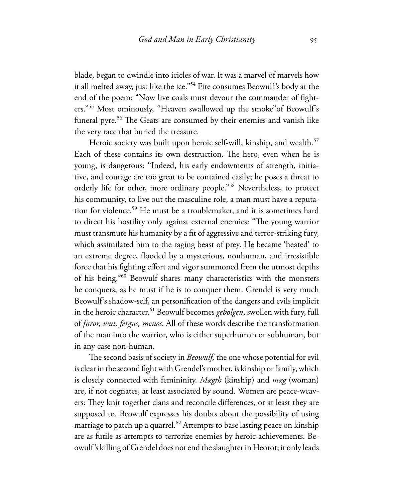blade, began to dwindle into icicles of war. It was a marvel of marvels how it all melted away, just like the ice."54 Fire consumes Beowulf's body at the end of the poem: "Now live coals must devour the commander of fighters."55 Most ominously, "Heaven swallowed up the smoke"of Beowulf's funeral pyre.<sup>56</sup> The Geats are consumed by their enemies and vanish like the very race that buried the treasure.

Heroic society was built upon heroic self-will, kinship, and wealth.<sup>57</sup> Each of these contains its own destruction. The hero, even when he is young, is dangerous: "Indeed, his early endowments of strength, initiative, and courage are too great to be contained easily; he poses a threat to orderly life for other, more ordinary people."58 Nevertheless, to protect his community, to live out the masculine role, a man must have a reputation for violence.59 He must be a troublemaker, and it is sometimes hard to direct his hostility only against external enemies: "The young warrior must transmute his humanity by a fit of aggressive and terror-striking fury, which assimilated him to the raging beast of prey. He became 'heated' to an extreme degree, flooded by a mysterious, nonhuman, and irresistible force that his fighting effort and vigor summoned from the utmost depths of his being."60 Beowulf shares many characteristics with the monsters he conquers, as he must if he is to conquer them. Grendel is very much Beowulf's shadow-self, an personification of the dangers and evils implicit in the heroic character.61 Beowulf becomes *gebolgen*, swollen with fury, full of *furor, wut, fergus, menos*. All of these words describe the transformation of the man into the warrior, who is either superhuman or subhuman, but in any case non-human.

The second basis of society in *Beowulf,* the one whose potential for evil is clear in the second fight with Grendel's mother, is kinship or family, which is closely connected with femininity. *Mægth* (kinship) and *mæg* (woman) are, if not cognates, at least associated by sound. Women are peace-weavers: They knit together clans and reconcile differences, or at least they are supposed to. Beowulf expresses his doubts about the possibility of using marriage to patch up a quarrel.<sup>62</sup> Attempts to base lasting peace on kinship are as futile as attempts to terrorize enemies by heroic achievements. Beowulf's killing of Grendel does not end the slaughter in Heorot; it only leads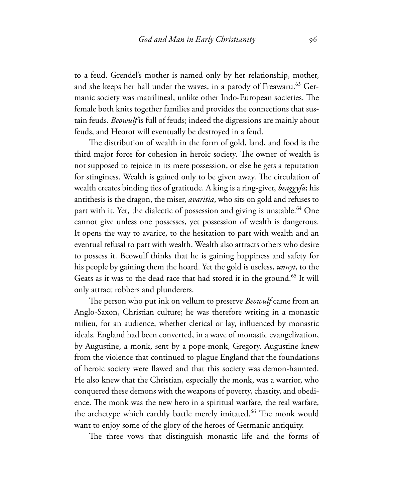to a feud. Grendel's mother is named only by her relationship, mother, and she keeps her hall under the waves, in a parody of Freawaru.<sup>63</sup> Germanic society was matrilineal, unlike other Indo-European societies. The female both knits together families and provides the connections that sustain feuds. *Beowulf* is full of feuds; indeed the digressions are mainly about feuds, and Heorot will eventually be destroyed in a feud.

The distribution of wealth in the form of gold, land, and food is the third major force for cohesion in heroic society. The owner of wealth is not supposed to rejoice in its mere possession, or else he gets a reputation for stinginess. Wealth is gained only to be given away. The circulation of wealth creates binding ties of gratitude. A king is a ring-giver, *beaggyfa*; his antithesis is the dragon, the miser, *avaritia*, who sits on gold and refuses to part with it. Yet, the dialectic of possession and giving is unstable.<sup>64</sup> One cannot give unless one possesses, yet possession of wealth is dangerous. It opens the way to avarice, to the hesitation to part with wealth and an eventual refusal to part with wealth. Wealth also attracts others who desire to possess it. Beowulf thinks that he is gaining happiness and safety for his people by gaining them the hoard. Yet the gold is useless, *unnyt*, to the Geats as it was to the dead race that had stored it in the ground.<sup>65</sup> It will only attract robbers and plunderers.

The person who put ink on vellum to preserve *Beowulf* came from an Anglo-Saxon, Christian culture; he was therefore writing in a monastic milieu, for an audience, whether clerical or lay, influenced by monastic ideals. England had been converted, in a wave of monastic evangelization, by Augustine, a monk, sent by a pope-monk, Gregory. Augustine knew from the violence that continued to plague England that the foundations of heroic society were flawed and that this society was demon-haunted. He also knew that the Christian, especially the monk, was a warrior, who conquered these demons with the weapons of poverty, chastity, and obedience. The monk was the new hero in a spiritual warfare, the real warfare, the archetype which earthly battle merely imitated.<sup>66</sup> The monk would want to enjoy some of the glory of the heroes of Germanic antiquity.

The three vows that distinguish monastic life and the forms of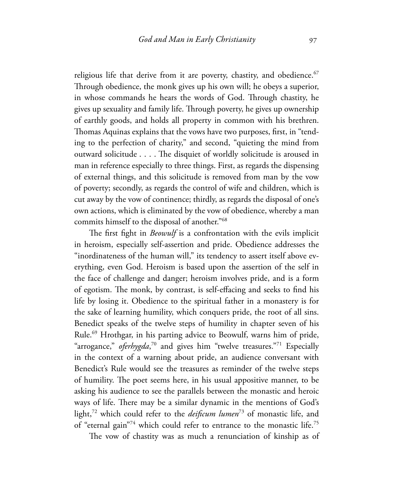religious life that derive from it are poverty, chastity, and obedience.<sup>67</sup> Through obedience, the monk gives up his own will; he obeys a superior, in whose commands he hears the words of God. Through chastity, he gives up sexuality and family life. Through poverty, he gives up ownership of earthly goods, and holds all property in common with his brethren. Thomas Aquinas explains that the vows have two purposes, first, in "tending to the perfection of charity," and second, "quieting the mind from outward solicitude . . . . The disquiet of worldly solicitude is aroused in man in reference especially to three things. First, as regards the dispensing of external things, and this solicitude is removed from man by the vow of poverty; secondly, as regards the control of wife and children, which is cut away by the vow of continence; thirdly, as regards the disposal of one's own actions, which is eliminated by the vow of obedience, whereby a man commits himself to the disposal of another."68

The first fight in *Beowulf* is a confrontation with the evils implicit in heroism, especially self-assertion and pride. Obedience addresses the "inordinateness of the human will," its tendency to assert itself above everything, even God. Heroism is based upon the assertion of the self in the face of challenge and danger; heroism involves pride, and is a form of egotism. The monk, by contrast, is self-effacing and seeks to find his life by losing it. Obedience to the spiritual father in a monastery is for the sake of learning humility, which conquers pride, the root of all sins. Benedict speaks of the twelve steps of humility in chapter seven of his Rule.69 Hrothgar, in his parting advice to Beowulf, warns him of pride, "arrogance," *oferhygda*, 70 and gives him "twelve treasures."71 Especially in the context of a warning about pride, an audience conversant with Benedict's Rule would see the treasures as reminder of the twelve steps of humility. The poet seems here, in his usual appositive manner, to be asking his audience to see the parallels between the monastic and heroic ways of life. There may be a similar dynamic in the mentions of God's light,72 which could refer to the *deificum lumen*73 of monastic life, and of "eternal gain"<sup>74</sup> which could refer to entrance to the monastic life.<sup>75</sup>

The vow of chastity was as much a renunciation of kinship as of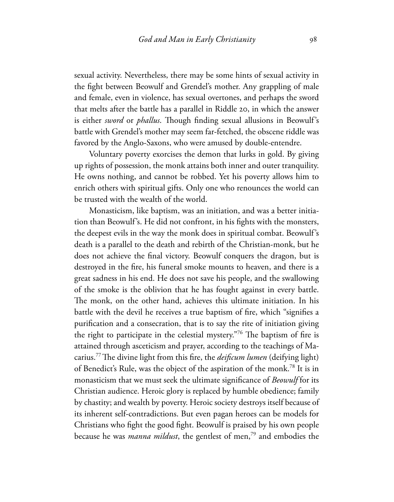sexual activity. Nevertheless, there may be some hints of sexual activity in the fight between Beowulf and Grendel's mother. Any grappling of male and female, even in violence, has sexual overtones, and perhaps the sword that melts after the battle has a parallel in Riddle 20, in which the answer is either *sword* or *phallus*. Though finding sexual allusions in Beowulf's battle with Grendel's mother may seem far-fetched, the obscene riddle was favored by the Anglo-Saxons, who were amused by double-entendre.

Voluntary poverty exorcises the demon that lurks in gold. By giving up rights of possession, the monk attains both inner and outer tranquility. He owns nothing, and cannot be robbed. Yet his poverty allows him to enrich others with spiritual gifts. Only one who renounces the world can be trusted with the wealth of the world.

Monasticism, like baptism, was an initiation, and was a better initiation than Beowulf's. He did not confront, in his fights with the monsters, the deepest evils in the way the monk does in spiritual combat. Beowulf's death is a parallel to the death and rebirth of the Christian-monk, but he does not achieve the final victory. Beowulf conquers the dragon, but is destroyed in the fire, his funeral smoke mounts to heaven, and there is a great sadness in his end. He does not save his people, and the swallowing of the smoke is the oblivion that he has fought against in every battle. The monk, on the other hand, achieves this ultimate initiation. In his battle with the devil he receives a true baptism of fire, which "signifies a purification and a consecration, that is to say the rite of initiation giving the right to participate in the celestial mystery."76 The baptism of fire is attained through asceticism and prayer, according to the teachings of Macarius.77 The divine light from this fire, the *deificum lumen* (deifying light) of Benedict's Rule, was the object of the aspiration of the monk.78 It is in monasticism that we must seek the ultimate significance of *Beowulf* for its Christian audience. Heroic glory is replaced by humble obedience; family by chastity; and wealth by poverty. Heroic society destroys itself because of its inherent self-contradictions. But even pagan heroes can be models for Christians who fight the good fight. Beowulf is praised by his own people because he was *manna mildust*, the gentlest of men,79 and embodies the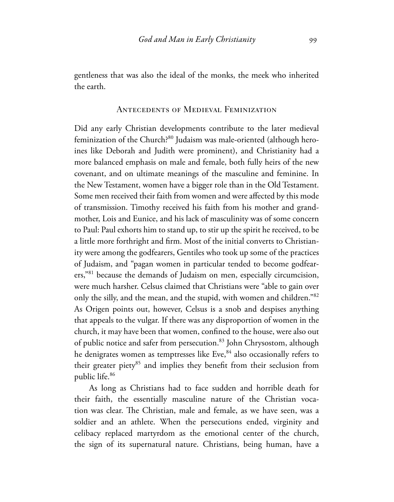gentleness that was also the ideal of the monks, the meek who inherited the earth.

#### Antecedents of Medieval Feminization

Did any early Christian developments contribute to the later medieval feminization of the Church?<sup>80</sup> Judaism was male-oriented (although heroines like Deborah and Judith were prominent), and Christianity had a more balanced emphasis on male and female, both fully heirs of the new covenant, and on ultimate meanings of the masculine and feminine. In the New Testament, women have a bigger role than in the Old Testament. Some men received their faith from women and were affected by this mode of transmission. Timothy received his faith from his mother and grandmother, Lois and Eunice, and his lack of masculinity was of some concern to Paul: Paul exhorts him to stand up, to stir up the spirit he received, to be a little more forthright and firm. Most of the initial converts to Christianity were among the godfearers, Gentiles who took up some of the practices of Judaism, and "pagan women in particular tended to become godfearers,"81 because the demands of Judaism on men, especially circumcision, were much harsher. Celsus claimed that Christians were "able to gain over only the silly, and the mean, and the stupid, with women and children."<sup>82</sup> As Origen points out, however, Celsus is a snob and despises anything that appeals to the vulgar. If there was any disproportion of women in the church, it may have been that women, confined to the house, were also out of public notice and safer from persecution.<sup>83</sup> John Chrysostom, although he denigrates women as temptresses like Eve, $84$  also occasionally refers to their greater piety<sup>85</sup> and implies they benefit from their seclusion from public life.<sup>86</sup>

As long as Christians had to face sudden and horrible death for their faith, the essentially masculine nature of the Christian vocation was clear. The Christian, male and female, as we have seen, was a soldier and an athlete. When the persecutions ended, virginity and celibacy replaced martyrdom as the emotional center of the church, the sign of its supernatural nature. Christians, being human, have a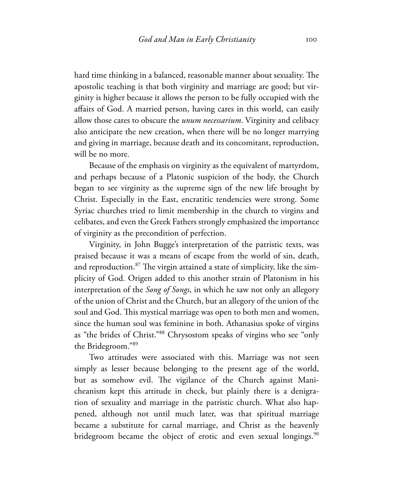hard time thinking in a balanced, reasonable manner about sexuality. The apostolic teaching is that both virginity and marriage are good; but virginity is higher because it allows the person to be fully occupied with the affairs of God. A married person, having cares in this world, can easily allow those cares to obscure the *unum necessarium*. Virginity and celibacy also anticipate the new creation, when there will be no longer marrying and giving in marriage, because death and its concomitant, reproduction, will be no more.

Because of the emphasis on virginity as the equivalent of martyrdom, and perhaps because of a Platonic suspicion of the body, the Church began to see virginity as the supreme sign of the new life brought by Christ. Especially in the East, encratitic tendencies were strong. Some Syriac churches tried to limit membership in the church to virgins and celibates, and even the Greek Fathers strongly emphasized the importance of virginity as the precondition of perfection.

Virginity, in John Bugge's interpretation of the patristic texts, was praised because it was a means of escape from the world of sin, death, and reproduction.87 The virgin attained a state of simplicity, like the simplicity of God. Origen added to this another strain of Platonism in his interpretation of the *Song of Songs*, in which he saw not only an allegory of the union of Christ and the Church, but an allegory of the union of the soul and God. This mystical marriage was open to both men and women, since the human soul was feminine in both. Athanasius spoke of virgins as "the brides of Christ."88 Chrysostom speaks of virgins who see "only the Bridegroom."<sup>89</sup>

Two attitudes were associated with this. Marriage was not seen simply as lesser because belonging to the present age of the world, but as somehow evil. The vigilance of the Church against Manicheanism kept this attitude in check, but plainly there is a denigration of sexuality and marriage in the patristic church. What also happened, although not until much later, was that spiritual marriage became a substitute for carnal marriage, and Christ as the heavenly bridegroom became the object of erotic and even sexual longings.<sup>90</sup>